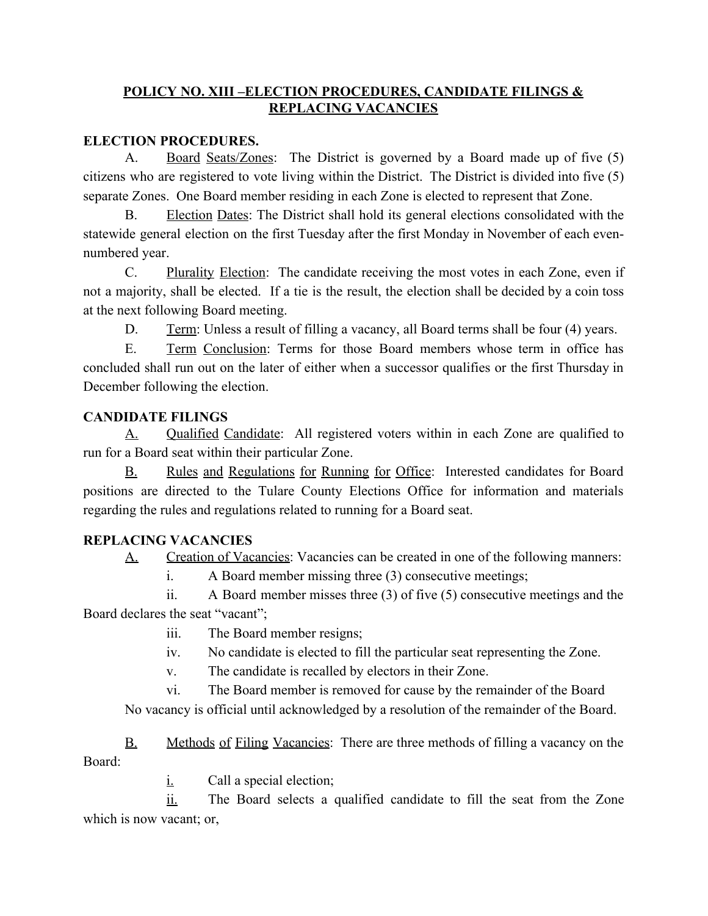## **POLICY NO. XIII –ELECTION PROCEDURES, CANDIDATE FILINGS & REPLACING VACANCIES**

## **ELECTION PROCEDURES.**

A. Board Seats/Zones: The District is governed by a Board made up of five (5) citizens who are registered to vote living within the District. The District is divided into five (5) separate Zones. One Board member residing in each Zone is elected to represent that Zone.

B. Election Dates: The District shall hold its general elections consolidated with the statewide general election on the first Tuesday after the first Monday in November of each evennumbered year.

C. Plurality Election: The candidate receiving the most votes in each Zone, even if not a majority, shall be elected. If a tie is the result, the election shall be decided by a coin toss at the next following Board meeting.

D. Term: Unless a result of filling a vacancy, all Board terms shall be four (4) years.

E. Term Conclusion: Terms for those Board members whose term in office has concluded shall run out on the later of either when a successor qualifies or the first Thursday in December following the election.

## **CANDIDATE FILINGS**

A. Qualified Candidate: All registered voters within in each Zone are qualified to run for a Board seat within their particular Zone.

B. Rules and Regulations for Running for Office: Interested candidates for Board positions are directed to the Tulare County Elections Office for information and materials regarding the rules and regulations related to running for a Board seat.

## **REPLACING VACANCIES**

A. Creation of Vacancies: Vacancies can be created in one of the following manners:

i. A Board member missing three (3) consecutive meetings;

ii. A Board member misses three (3) of five (5) consecutive meetings and the Board declares the seat "vacant";

- iii. The Board member resigns;
- iv. No candidate is elected to fill the particular seat representing the Zone.
- v. The candidate is recalled by electors in their Zone.

vi. The Board member is removed for cause by the remainder of the Board No vacancy is official until acknowledged by a resolution of the remainder of the Board.

B. Methods of Filing Vacancies: There are three methods of filling a vacancy on the Board:

 $i.$  Call a special election;

ii. The Board selects a qualified candidate to fill the seat from the Zone which is now vacant; or,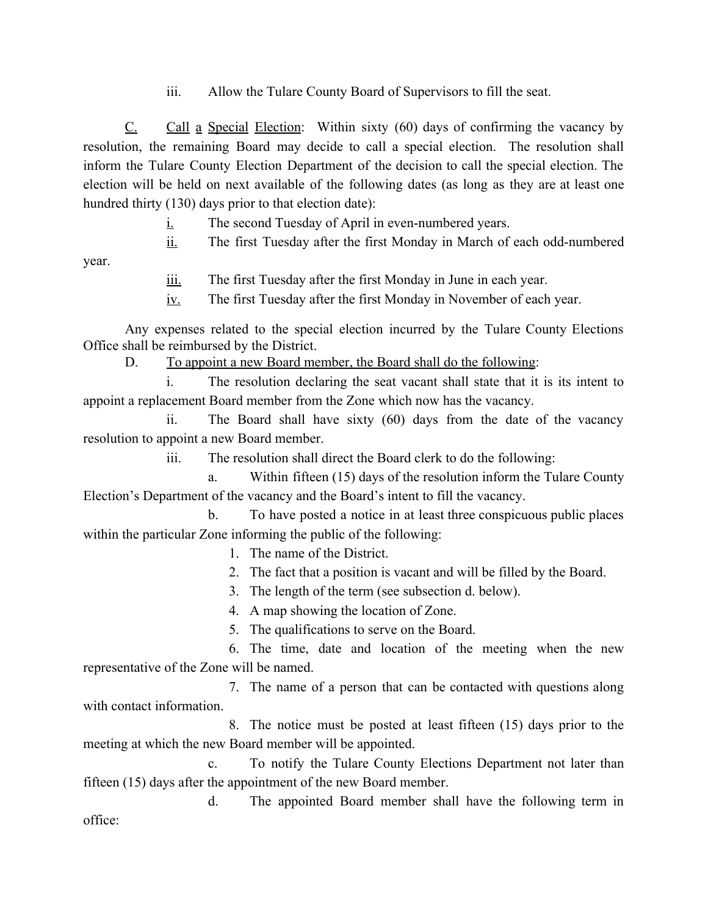iii. Allow the Tulare County Board of Supervisors to fill the seat.

 $C<sub>i</sub>$  Call a Special Election: Within sixty (60) days of confirming the vacancy by resolution, the remaining Board may decide to call a special election. The resolution shall inform the Tulare County Election Department of the decision to call the special election. The election will be held on next available of the following dates (as long as they are at least one hundred thirty (130) days prior to that election date):

- $i.$  The second Tuesday of April in even-numbered years.
- ii. The first Tuesday after the first Monday in March of each odd-numbered

year.

- iii. The first Tuesday after the first Monday in June in each year.
- iv. The first Tuesday after the first Monday in November of each year.

Any expenses related to the special election incurred by the Tulare County Elections Office shall be reimbursed by the District.

D. To appoint a new Board member, the Board shall do the following:

The resolution declaring the seat vacant shall state that it is its intent to appoint a replacement Board member from the Zone which now has the vacancy.

ii. The Board shall have sixty (60) days from the date of the vacancy resolution to appoint a new Board member.

iii. The resolution shall direct the Board clerk to do the following:

a. Within fifteen (15) days of the resolution inform the Tulare County Election's Department of the vacancy and the Board's intent to fill the vacancy.

b. To have posted a notice in at least three conspicuous public places within the particular Zone informing the public of the following:

1. The name of the District.

- 2. The fact that a position is vacant and will be filled by the Board.
- 3. The length of the term (see subsection d. below).

4. A map showing the location of Zone.

5. The qualifications to serve on the Board.

6. The time, date and location of the meeting when the new representative of the Zone will be named.

7. The name of a person that can be contacted with questions along with contact information

8. The notice must be posted at least fifteen (15) days prior to the meeting at which the new Board member will be appointed.

c. To notify the Tulare County Elections Department not later than fifteen (15) days after the appointment of the new Board member.

d. The appointed Board member shall have the following term in office: